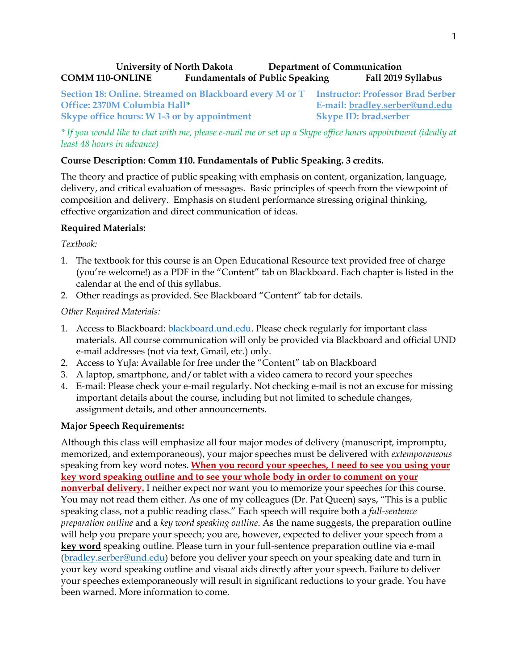### **University of North Dakota Department of Communication COMM 110-ONLINE Fundamentals of Public Speaking Fall 2019 Syllabus**

**Section 18: Online. Streamed on Blackboard every M or T Instructor: Professor Brad Serber Office: 2370M Columbia Hall\* E-mail: [bradley.serber@und.edu](mailto:bradley.serber@und.edu) Skype office hours: W 1-3 or by appointment Skype ID: brad.serber** 

*\* If you would like to chat with me, please e-mail me or set up a Skype office hours appointment (ideally at least 48 hours in advance)*

### **Course Description: Comm 110. Fundamentals of Public Speaking. 3 credits.**

The theory and practice of public speaking with emphasis on content, organization, language, delivery, and critical evaluation of messages. Basic principles of speech from the viewpoint of composition and delivery. Emphasis on student performance stressing original thinking, effective organization and direct communication of ideas.

### **Required Materials:**

*Textbook:* 

- 1. The textbook for this course is an Open Educational Resource text provided free of charge (you're welcome!) as a PDF in the "Content" tab on Blackboard. Each chapter is listed in the calendar at the end of this syllabus.
- 2. Other readings as provided. See Blackboard "Content" tab for details.

### *Other Required Materials:*

- 1. Access to Blackboard: [blackboard.und.edu.](http://online.und.edu/) Please check regularly for important class materials. All course communication will only be provided via Blackboard and official UND e-mail addresses (not via text, Gmail, etc.) only.
- 2. Access to YuJa: Available for free under the "Content" tab on Blackboard
- 3. A laptop, smartphone, and/or tablet with a video camera to record your speeches
- 4. E-mail: Please check your e-mail regularly. Not checking e-mail is not an excuse for missing important details about the course, including but not limited to schedule changes, assignment details, and other announcements.

### **Major Speech Requirements:**

Although this class will emphasize all four major modes of delivery (manuscript, impromptu, memorized, and extemporaneous), your major speeches must be delivered with *extemporaneous* speaking from key word notes. **When you record your speeches, I need to see you using your key word speaking outline and to see your whole body in order to comment on your nonverbal delivery.** I neither expect nor want you to memorize your speeches for this course. You may not read them either. As one of my colleagues (Dr. Pat Queen) says, "This is a public speaking class, not a public reading class." Each speech will require both a *full-sentence preparation outline* and a *key word speaking outline*. As the name suggests, the preparation outline will help you prepare your speech; you are, however, expected to deliver your speech from a **key word** speaking outline. Please turn in your full-sentence preparation outline via e-mail [\(bradley.serber@und.edu\)](mailto:bradley.serber@und.edu) before you deliver your speech on your speaking date and turn in your key word speaking outline and visual aids directly after your speech. Failure to deliver your speeches extemporaneously will result in significant reductions to your grade. You have been warned. More information to come.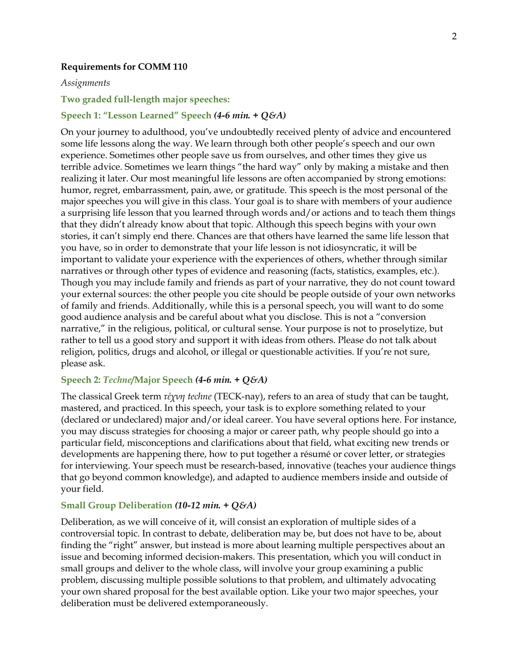#### **Requirements for COMM 110**

#### *Assignments*

#### **Two graded full-length major speeches:**

#### **Speech 1: "Lesson Learned" Speech** *(4-6 min. + Q&A)*

On your journey to adulthood, you've undoubtedly received plenty of advice and encountered some life lessons along the way. We learn through both other people's speech and our own experience. Sometimes other people save us from ourselves, and other times they give us terrible advice. Sometimes we learn things "the hard way" only by making a mistake and then realizing it later. Our most meaningful life lessons are often accompanied by strong emotions: humor, regret, embarrassment, pain, awe, or gratitude. This speech is the most personal of the major speeches you will give in this class. Your goal is to share with members of your audience a surprising life lesson that you learned through words and/or actions and to teach them things that they didn't already know about that topic. Although this speech begins with your own stories, it can't simply end there. Chances are that others have learned the same life lesson that you have, so in order to demonstrate that your life lesson is not idiosyncratic, it will be important to validate your experience with the experiences of others, whether through similar narratives or through other types of evidence and reasoning (facts, statistics, examples, etc.). Though you may include family and friends as part of your narrative, they do not count toward your external sources: the other people you cite should be people outside of your own networks of family and friends. Additionally, while this is a personal speech, you will want to do some good audience analysis and be careful about what you disclose. This is not a "conversion narrative," in the religious, political, or cultural sense. Your purpose is not to proselytize, but rather to tell us a good story and support it with ideas from others. Please do not talk about religion, politics, drugs and alcohol, or illegal or questionable activities. If you're not sure, please ask.

#### **Speech 2:** *Techne***/Major Speech** *(4-6 min. + Q&A)*

The classical Greek term *τέχνη techne* (TECK-nay), refers to an area of study that can be taught, mastered, and practiced. In this speech, your task is to explore something related to your (declared or undeclared) major and/or ideal career. You have several options here. For instance, you may discuss strategies for choosing a major or career path, why people should go into a particular field, misconceptions and clarifications about that field, what exciting new trends or developments are happening there, how to put together a résumé or cover letter, or strategies for interviewing. Your speech must be research-based, innovative (teaches your audience things that go beyond common knowledge), and adapted to audience members inside and outside of your field.

#### **Small Group Deliberation** *(10-12 min. + Q&A)*

Deliberation, as we will conceive of it, will consist an exploration of multiple sides of a controversial topic. In contrast to debate, deliberation may be, but does not have to be, about finding the "right" answer, but instead is more about learning multiple perspectives about an issue and becoming informed decision-makers. This presentation, which you will conduct in small groups and deliver to the whole class, will involve your group examining a public problem, discussing multiple possible solutions to that problem, and ultimately advocating your own shared proposal for the best available option. Like your two major speeches, your deliberation must be delivered extemporaneously.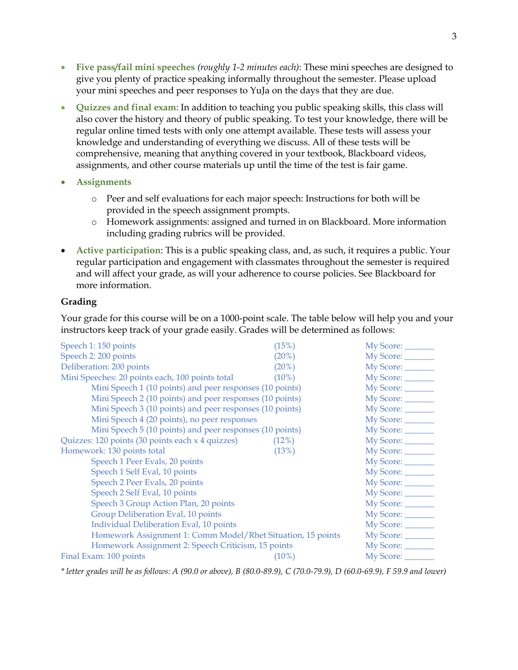- **Five pass/fail mini speeches** *(roughly 1-2 minutes each)*: These mini speeches are designed to give you plenty of practice speaking informally throughout the semester. Please upload your mini speeches and peer responses to YuJa on the days that they are due.
- **Quizzes and final exam**: In addition to teaching you public speaking skills, this class will also cover the history and theory of public speaking. To test your knowledge, there will be regular online timed tests with only one attempt available. These tests will assess your knowledge and understanding of everything we discuss. All of these tests will be comprehensive, meaning that anything covered in your textbook, Blackboard videos, assignments, and other course materials up until the time of the test is fair game.
- **Assignments**
	- o Peer and self evaluations for each major speech: Instructions for both will be provided in the speech assignment prompts.
	- o Homework assignments: assigned and turned in on Blackboard. More information including grading rubrics will be provided.
- **Active participation**: This is a public speaking class, and, as such, it requires a public. Your regular participation and engagement with classmates throughout the semester is required and will affect your grade, as will your adherence to course policies. See Blackboard for more information.

#### **Grading**

Your grade for this course will be on a 1000-point scale. The table below will help you and your instructors keep track of your grade easily. Grades will be determined as follows:

| (15%)                                                       | My Score: _______  |
|-------------------------------------------------------------|--------------------|
| (20%)                                                       | My Score: _______  |
| (20%)                                                       | My Score: _______  |
| $(10\%)$                                                    | My Score: _______  |
| Mini Speech 1 (10 points) and peer responses (10 points)    | My Score: ________ |
| Mini Speech 2 (10 points) and peer responses (10 points)    | My Score: ________ |
| Mini Speech 3 (10 points) and peer responses (10 points)    | My Score: _______  |
|                                                             | My Score: _______  |
| Mini Speech 5 (10 points) and peer responses (10 points)    | My Score: _______  |
| $(12\%)$                                                    | My Score: ________ |
| (13%)                                                       | My Score: ________ |
|                                                             | My Score: ________ |
|                                                             | My Score: _______  |
|                                                             | My Score: _______  |
|                                                             | My Score: _______  |
|                                                             | My Score: _______  |
|                                                             | My Score: ________ |
|                                                             | My Score: _______  |
| Homework Assignment 1: Comm Model/Rhet Situation, 15 points |                    |
| Homework Assignment 2: Speech Criticism, 15 points          |                    |
| $(10\%)$                                                    | My Score: ________ |
|                                                             |                    |

*\* letter grades will be as follows: A (90.0 or above), B (80.0-89.9), C (70.0-79.9), D (60.0-69.9), F 59.9 and lower)*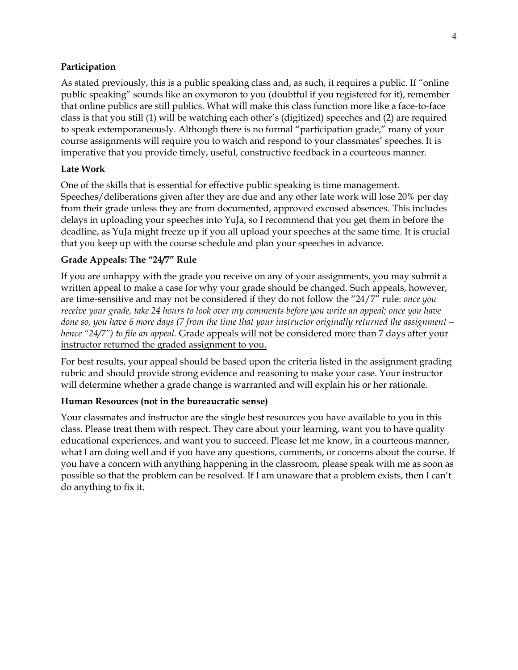### **Participation**

As stated previously, this is a public speaking class and, as such, it requires a public. If "online public speaking" sounds like an oxymoron to you (doubtful if you registered for it), remember that online publics are still publics. What will make this class function more like a face-to-face class is that you still (1) will be watching each other's (digitized) speeches and (2) are required to speak extemporaneously. Although there is no formal "participation grade," many of your course assignments will require you to watch and respond to your classmates' speeches. It is imperative that you provide timely, useful, constructive feedback in a courteous manner.

### **Late Work**

One of the skills that is essential for effective public speaking is time management. Speeches/deliberations given after they are due and any other late work will lose 20% per day from their grade unless they are from documented, approved excused absences. This includes delays in uploading your speeches into YuJa, so I recommend that you get them in before the deadline, as YuJa might freeze up if you all upload your speeches at the same time. It is crucial that you keep up with the course schedule and plan your speeches in advance.

### **Grade Appeals: The "24/7" Rule**

If you are unhappy with the grade you receive on any of your assignments, you may submit a written appeal to make a case for why your grade should be changed. Such appeals, however, are time-sensitive and may not be considered if they do not follow the "24/7" rule: *once you receive your grade, take 24 hours to look over my comments before you write an appeal; once you have done so, you have 6 more days (7 from the time that your instructor originally returned the assignment hence "24/7") to file an appeal.* Grade appeals will not be considered more than 7 days after your instructor returned the graded assignment to you.

For best results, your appeal should be based upon the criteria listed in the assignment grading rubric and should provide strong evidence and reasoning to make your case. Your instructor will determine whether a grade change is warranted and will explain his or her rationale.

### **Human Resources (not in the bureaucratic sense)**

Your classmates and instructor are the single best resources you have available to you in this class. Please treat them with respect. They care about your learning, want you to have quality educational experiences, and want you to succeed. Please let me know, in a courteous manner, what I am doing well and if you have any questions, comments, or concerns about the course. If you have a concern with anything happening in the classroom, please speak with me as soon as possible so that the problem can be resolved. If I am unaware that a problem exists, then I can't do anything to fix it.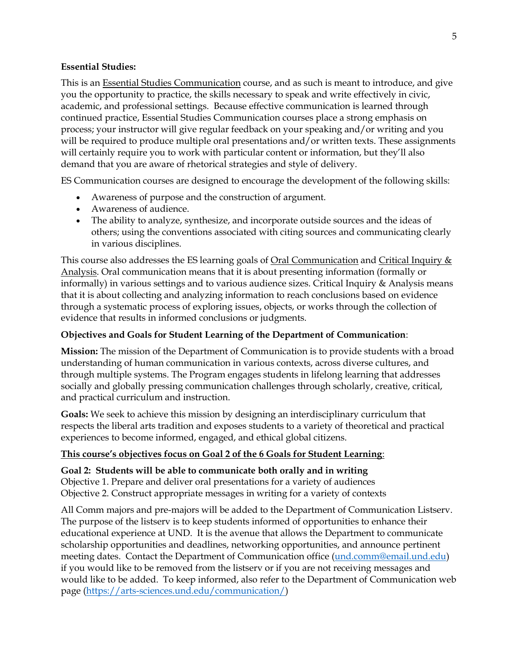### **Essential Studies:**

This is an **Essential Studies Communication** course, and as such is meant to introduce, and give you the opportunity to practice, the skills necessary to speak and write effectively in civic, academic, and professional settings. Because effective communication is learned through continued practice, Essential Studies Communication courses place a strong emphasis on process; your instructor will give regular feedback on your speaking and/or writing and you will be required to produce multiple oral presentations and/or written texts. These assignments will certainly require you to work with particular content or information, but they'll also demand that you are aware of rhetorical strategies and style of delivery.

ES Communication courses are designed to encourage the development of the following skills:

- Awareness of purpose and the construction of argument.
- Awareness of audience.
- The ability to analyze, synthesize, and incorporate outside sources and the ideas of others; using the conventions associated with citing sources and communicating clearly in various disciplines.

This course also addresses the ES learning goals of Oral Communication and Critical Inquiry & Analysis. Oral communication means that it is about presenting information (formally or informally) in various settings and to various audience sizes. Critical Inquiry & Analysis means that it is about collecting and analyzing information to reach conclusions based on evidence through a systematic process of exploring issues, objects, or works through the collection of evidence that results in informed conclusions or judgments.

## **Objectives and Goals for Student Learning of the Department of Communication**:

**Mission:** The mission of the Department of Communication is to provide students with a broad understanding of human communication in various contexts, across diverse cultures, and through multiple systems. The Program engages students in lifelong learning that addresses socially and globally pressing communication challenges through scholarly, creative, critical, and practical curriculum and instruction.

**Goals:** We seek to achieve this mission by designing an interdisciplinary curriculum that respects the liberal arts tradition and exposes students to a variety of theoretical and practical experiences to become informed, engaged, and ethical global citizens.

## **This course's objectives focus on Goal 2 of the 6 Goals for Student Learning**:

### **Goal 2: Students will be able to communicate both orally and in writing**

Objective 1. Prepare and deliver oral presentations for a variety of audiences Objective 2. Construct appropriate messages in writing for a variety of contexts

All Comm majors and pre-majors will be added to the Department of Communication Listserv. The purpose of the listserv is to keep students informed of opportunities to enhance their educational experience at UND. It is the avenue that allows the Department to communicate scholarship opportunities and deadlines, networking opportunities, and announce pertinent meeting dates. Contact the Department of Communication office [\(und.comm@email.und.edu\)](mailto:und.comm@email.und.edu) if you would like to be removed from the listserv or if you are not receiving messages and would like to be added. To keep informed, also refer to the Department of Communication web page [\(https://arts-sciences.und.edu/communication/\)](https://arts-sciences.und.edu/communication/)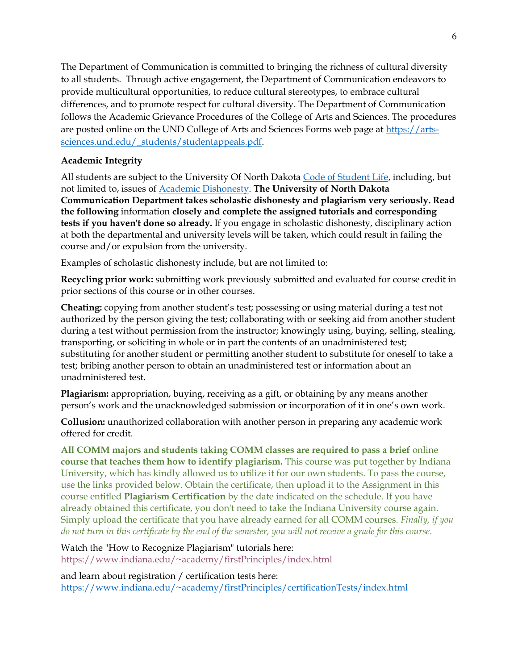The Department of Communication is committed to bringing the richness of cultural diversity to all students. Through active engagement, the Department of Communication endeavors to provide multicultural opportunities, to reduce cultural stereotypes, to embrace cultural differences, and to promote respect for cultural diversity. The Department of Communication follows the Academic Grievance Procedures of the College of Arts and Sciences. The procedures are posted online on the UND College of Arts and Sciences Forms web page at [https://arts](https://arts-sciences.und.edu/_students/studentappeals.pdf)[sciences.und.edu/\\_students/studentappeals.pdf.](https://arts-sciences.und.edu/_students/studentappeals.pdf)

## **Academic Integrity**

All students are subject to the University Of North Dakota [Code of Student Life,](https://und.edu/code-of-student-life/) including, but not limited to, issues o[f Academic Dishonesty.](https://und.edu/code-of-student-life/appendix-b.cfm#2) **The University of North Dakota Communication Department takes scholastic dishonesty and plagiarism very seriously. Read the following** information **closely and complete the assigned tutorials and corresponding tests if you haven't done so already.** If you engage in scholastic dishonesty, disciplinary action at both the departmental and university levels will be taken, which could result in failing the course and/or expulsion from the university.

Examples of scholastic dishonesty include, but are not limited to:

**Recycling prior work:** submitting work previously submitted and evaluated for course credit in prior sections of this course or in other courses.

**Cheating:** copying from another student's test; possessing or using material during a test not authorized by the person giving the test; collaborating with or seeking aid from another student during a test without permission from the instructor; knowingly using, buying, selling, stealing, transporting, or soliciting in whole or in part the contents of an unadministered test; substituting for another student or permitting another student to substitute for oneself to take a test; bribing another person to obtain an unadministered test or information about an unadministered test.

**Plagiarism:** appropriation, buying, receiving as a gift, or obtaining by any means another person's work and the unacknowledged submission or incorporation of it in one's own work.

**Collusion:** unauthorized collaboration with another person in preparing any academic work offered for credit.

**All COMM majors and students taking COMM classes are required to pass a brief** online **course that teaches them how to identify plagiarism.** This course was put together by Indiana University, which has kindly allowed us to utilize it for our own students. To pass the course, use the links provided below. Obtain the certificate, then upload it to the Assignment in this course entitled **Plagiarism Certification** by the date indicated on the schedule. If you have already obtained this certificate, you don't need to take the Indiana University course again. Simply upload the certificate that you have already earned for all COMM courses. *Finally, if you* do not turn in this certificate by the end of the semester, you will not receive a grade for this course.

Watch the "How to Recognize Plagiarism" tutorials here: <https://www.indiana.edu/~academy/firstPrinciples/index.html>

and learn about registration / certification tests here: <https://www.indiana.edu/~academy/firstPrinciples/certificationTests/index.html>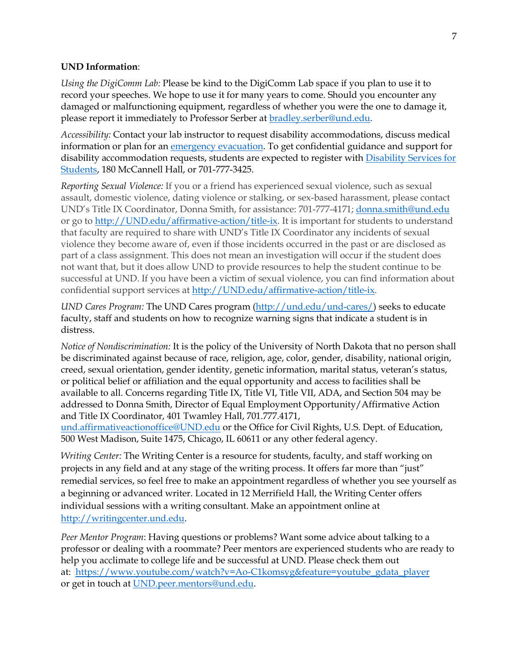#### **UND Information**:

*Using the DigiComm Lab:* Please be kind to the DigiComm Lab space if you plan to use it to record your speeches. We hope to use it for many years to come. Should you encounter any damaged or malfunctioning equipment, regardless of whether you were the one to damage it, please report it immediately to Professor Serber at [bradley.serber@und.edu.](mailto:bradley.serber@und.edu)

*Accessibility:* Contact your lab instructor to request disability accommodations, discuss medical information or plan for an [emergency evacuation.](https://und.edu/public-safety/public-safety/fire-safety.cfm) To get confidential guidance and support for disability accommodation requests, students are expected to register with [Disability Services for](https://und.edu/disability-services/index.cfm)  [Students,](https://und.edu/disability-services/index.cfm) 180 McCannell Hall, or 701-777-3425.

*Reporting Sexual Violence:* If you or a friend has experienced sexual violence, such as sexual assault, domestic violence, dating violence or stalking, or sex-based harassment, please contact UND's Title IX Coordinator, Donna Smith, for assistance: 701-777-4171; [donna.smith@und.edu](mailto:donna.smith@und.edu) or go to [http://UND.edu/affirmative-action/title-ix.](http://und.edu/affirmative-action/title-ix) It is important for students to understand that faculty are required to share with UND's Title IX Coordinator any incidents of sexual violence they become aware of, even if those incidents occurred in the past or are disclosed as part of a class assignment. This does not mean an investigation will occur if the student does not want that, but it does allow UND to provide resources to help the student continue to be successful at UND. If you have been a victim of sexual violence, you can find information about confidential support services at [http://UND.edu/affirmative-action/title-ix.](http://und.edu/affirmative-action/title-ix)

*UND Cares Program:* The UND Cares program [\(http://und.edu/und-cares/\)](http://und.edu/und-cares/) seeks to educate faculty, staff and students on how to recognize warning signs that indicate a student is in distress.

*Notice of Nondiscrimination:* It is the policy of the University of North Dakota that no person shall be discriminated against because of race, religion, age, color, gender, disability, national origin, creed, sexual orientation, gender identity, genetic information, marital status, veteran's status, or political belief or affiliation and the equal opportunity and access to facilities shall be available to all. Concerns regarding Title IX, Title VI, Title VII, ADA, and Section 504 may be addressed to Donna Smith, Director of Equal Employment Opportunity/Affirmative Action and Title IX Coordinator, 401 Twamley Hall, 701.777.4171,

[und.affirmativeactionoffice@UND.edu](mailto:und.affirmativeactionoffice@UND.edu) or the Office for Civil Rights, U.S. Dept. of Education, 500 West Madison, Suite 1475, Chicago, IL 60611 or any other federal agency.

*Writing Center:* The Writing Center is a resource for students, faculty, and staff working on projects in any field and at any stage of the writing process. It offers far more than "just" remedial services, so feel free to make an appointment regardless of whether you see yourself as a beginning or advanced writer. Located in 12 Merrifield Hall, the Writing Center offers individual sessions with a writing consultant. Make an appointment online at [http://writingcenter.und.edu.](http://writingcenter.und.edu/)

*Peer Mentor Program*: Having questions or problems? Want some advice about talking to a professor or dealing with a roommate? Peer mentors are experienced students who are ready to help you acclimate to college life and be successful at UND. Please check them out at: [https://www.youtube.com/watch?v=Ao-C1komsyg&feature=youtube\\_gdata\\_player](https://www.youtube.com/watch?v=Ao-C1komsyg&feature=youtube_gdata_player) or get in touch at [UND.peer.mentors@und.edu.](mailto:UND.peer.mentors@und.edu)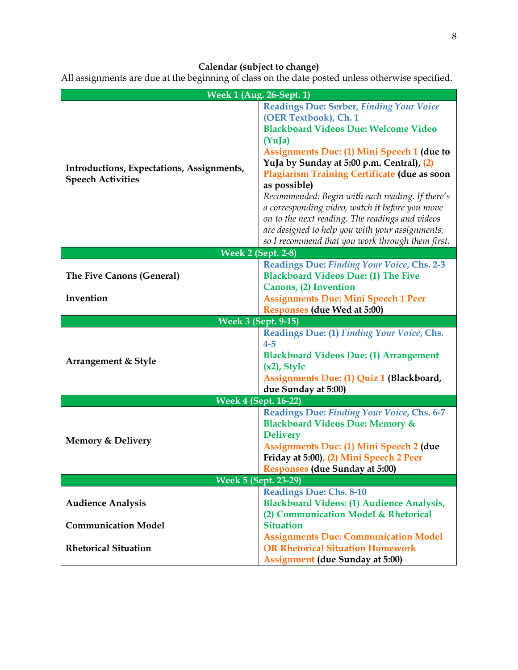# **Calendar (subject to change)**

All assignments are due at the beginning of class on the date posted unless otherwise specified.

|                                                                       | <b>Week 1 (Aug. 26-Sept. 1)</b>                                                                                                                                                                                                                                                                                                                                                                                                                                                                                                                                      |  |
|-----------------------------------------------------------------------|----------------------------------------------------------------------------------------------------------------------------------------------------------------------------------------------------------------------------------------------------------------------------------------------------------------------------------------------------------------------------------------------------------------------------------------------------------------------------------------------------------------------------------------------------------------------|--|
| Introductions, Expectations, Assignments,<br><b>Speech Activities</b> | <b>Readings Due: Serber, Finding Your Voice</b><br>(OER Textbook), Ch. 1<br><b>Blackboard Videos Due: Welcome Video</b><br>(YuJa)<br><b>Assignments Due: (1) Mini Speech 1 (due to</b><br>YuJa by Sunday at 5:00 p.m. Central), (2)<br>Plagiarism Training Certificate (due as soon<br>as possible)<br>Recommended: Begin with each reading. If there's<br>a corresponding video, watch it before you move<br>on to the next reading. The readings and videos<br>are designed to help you with your assignments,<br>so I recommend that you work through them first. |  |
|                                                                       | <b>Week 2 (Sept. 2-8)</b><br>Readings Due: Finding Your Voice, Chs. 2-3                                                                                                                                                                                                                                                                                                                                                                                                                                                                                              |  |
| The Five Canons (General)                                             | <b>Blackboard Videos Due: (1) The Five</b>                                                                                                                                                                                                                                                                                                                                                                                                                                                                                                                           |  |
|                                                                       | Canons, (2) Invention                                                                                                                                                                                                                                                                                                                                                                                                                                                                                                                                                |  |
| Invention                                                             | <b>Assignments Due: Mini Speech 1 Peer</b>                                                                                                                                                                                                                                                                                                                                                                                                                                                                                                                           |  |
|                                                                       | <b>Responses (due Wed at 5:00)</b>                                                                                                                                                                                                                                                                                                                                                                                                                                                                                                                                   |  |
| <b>Week 3 (Sept. 9-15)</b>                                            |                                                                                                                                                                                                                                                                                                                                                                                                                                                                                                                                                                      |  |
| Arrangement & Style                                                   | Readings Due: (1) Finding Your Voice, Chs.<br>$4-5$<br><b>Blackboard Videos Due: (1) Arrangement</b><br>$(x2)$ , Style<br>Assignments Due: (1) Quiz 1 (Blackboard,<br>due Sunday at 5:00)                                                                                                                                                                                                                                                                                                                                                                            |  |
| <b>Week 4 (Sept. 16-22)</b>                                           |                                                                                                                                                                                                                                                                                                                                                                                                                                                                                                                                                                      |  |
| <b>Memory &amp; Delivery</b>                                          | Readings Due: Finding Your Voice, Chs. 6-7<br><b>Blackboard Videos Due: Memory &amp;</b><br><b>Delivery</b><br><b>Assignments Due: (1) Mini Speech 2 (due</b><br>Friday at 5:00), (2) Mini Speech 2 Peer<br><b>Responses (due Sunday at 5:00)</b>                                                                                                                                                                                                                                                                                                                    |  |
| <b>Week 5 (Sept. 23-29)</b>                                           |                                                                                                                                                                                                                                                                                                                                                                                                                                                                                                                                                                      |  |
| <b>Audience Analysis</b>                                              | <b>Readings Due: Chs. 8-10</b><br><b>Blackboard Videos: (1) Audience Analysis,</b><br>(2) Communication Model & Rhetorical                                                                                                                                                                                                                                                                                                                                                                                                                                           |  |
| <b>Communication Model</b>                                            | <b>Situation</b>                                                                                                                                                                                                                                                                                                                                                                                                                                                                                                                                                     |  |
| <b>Rhetorical Situation</b>                                           | <b>Assignments Due: Communication Model</b><br><b>OR Rhetorical Situation Homework</b><br><b>Assignment</b> (due Sunday at 5:00)                                                                                                                                                                                                                                                                                                                                                                                                                                     |  |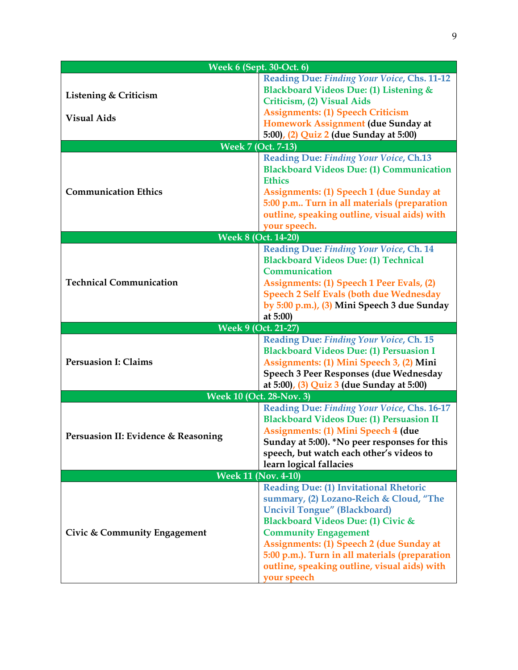| <b>Week 6 (Sept. 30-Oct. 6)</b>             |                                                                                                                                                                                                                                                                                                                                                                          |  |  |
|---------------------------------------------|--------------------------------------------------------------------------------------------------------------------------------------------------------------------------------------------------------------------------------------------------------------------------------------------------------------------------------------------------------------------------|--|--|
| Listening & Criticism<br><b>Visual Aids</b> | Reading Due: Finding Your Voice, Chs. 11-12<br>Blackboard Videos Due: (1) Listening &<br>Criticism, (2) Visual Aids<br><b>Assignments: (1) Speech Criticism</b><br>Homework Assignment (due Sunday at<br>5:00), (2) Quiz 2 (due Sunday at 5:00)                                                                                                                          |  |  |
|                                             | <b>Week 7 (Oct. 7-13)</b>                                                                                                                                                                                                                                                                                                                                                |  |  |
| <b>Communication Ethics</b>                 | Reading Due: Finding Your Voice, Ch.13<br><b>Blackboard Videos Due: (1) Communication</b><br><b>Ethics</b><br><b>Assignments: (1) Speech 1 (due Sunday at</b><br>5:00 p.m Turn in all materials (preparation<br>outline, speaking outline, visual aids) with<br>your speech.                                                                                             |  |  |
|                                             | <b>Week 8 (Oct. 14-20)</b>                                                                                                                                                                                                                                                                                                                                               |  |  |
| <b>Technical Communication</b>              | Reading Due: Finding Your Voice, Ch. 14<br><b>Blackboard Videos Due: (1) Technical</b><br>Communication<br>Assignments: (1) Speech 1 Peer Evals, (2)<br><b>Speech 2 Self Evals (both due Wednesday</b><br>by 5:00 p.m.), (3) Mini Speech 3 due Sunday<br>at 5:00)                                                                                                        |  |  |
|                                             | <b>Week 9 (Oct. 21-27)</b>                                                                                                                                                                                                                                                                                                                                               |  |  |
| <b>Persuasion I: Claims</b>                 | Reading Due: Finding Your Voice, Ch. 15<br><b>Blackboard Videos Due: (1) Persuasion I</b><br>Assignments: (1) Mini Speech 3, (2) Mini<br>Speech 3 Peer Responses (due Wednesday<br>at 5:00), (3) Quiz 3 (due Sunday at 5:00)                                                                                                                                             |  |  |
| Week 10 (Oct. 28-Nov. 3)                    |                                                                                                                                                                                                                                                                                                                                                                          |  |  |
| Persuasion II: Evidence & Reasoning         | Reading Due: Finding Your Voice, Chs. 16-17<br><b>Blackboard Videos Due: (1) Persuasion II</b><br><b>Assignments: (1) Mini Speech 4 (due</b><br>Sunday at 5:00). *No peer responses for this<br>speech, but watch each other's videos to<br>learn logical fallacies                                                                                                      |  |  |
| <b>Week 11 (Nov. 4-10)</b>                  |                                                                                                                                                                                                                                                                                                                                                                          |  |  |
| Civic & Community Engagement                | <b>Reading Due: (1) Invitational Rhetoric</b><br>summary, (2) Lozano-Reich & Cloud, "The<br><b>Uncivil Tongue" (Blackboard)</b><br>Blackboard Videos Due: (1) Civic &<br><b>Community Engagement</b><br><b>Assignments: (1) Speech 2 (due Sunday at</b><br>5:00 p.m.). Turn in all materials (preparation<br>outline, speaking outline, visual aids) with<br>your speech |  |  |